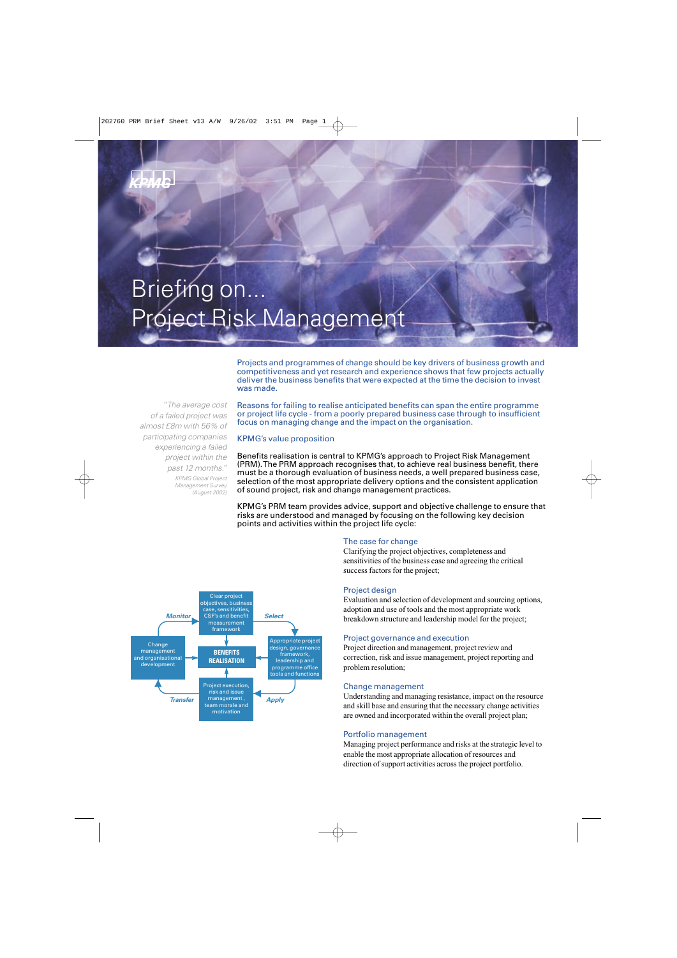# Briefing on... Project Risk Management

Projects and programmes of change should be key drivers of business growth and competitiveness and yet research and experience shows that few projects actually deliver the business benefits that were expected at the time the decision to invest was made.

*"The average cost of a failed project was almost £8m with 56% of participating companies experiencing a failed project within the past 12 months." KPMG Global Project Management Survey (August 2002)*

Reasons for failing to realise anticipated benefits can span the entire programme or project life cycle - from a poorly prepared business case through to insufficient focus on managing change and the impact on the organisation.

# KPMG's value proposition

Benefits realisation is central to KPMG's approach to Project Risk Management (PRM). The PRM approach recognises that, to achieve real business benefit, there must be a thorough evaluation of business needs, a well prepared business case, selection of the most appropriate delivery options and the consistent application of sound project, risk and change management practices.

KPMG's PRM team provides advice, support and objective challenge to ensure that risks are understood and managed by focusing on the following key decision points and activities within the project life cycle:

# The case for change

Clarifying the project objectives, completeness and sensitivities of the business case and agreeing the critical success factors for the project;

# Project design

Evaluation and selection of development and sourcing options, adoption and use of tools and the most appropriate work breakdown structure and leadership model for the project;

# Project governance and execution

Project direction and management, project review and correction, risk and issue management, project reporting and problem resolution;

### Change management

Understanding and managing resistance, impact on the resource and skill base and ensuring that the necessary change activities are owned and incorporated within the overall project plan;

# Portfolio management

Managing project performance and risks at the strategic level to enable the most appropriate allocation of resources and direction of support activities across the project portfolio.